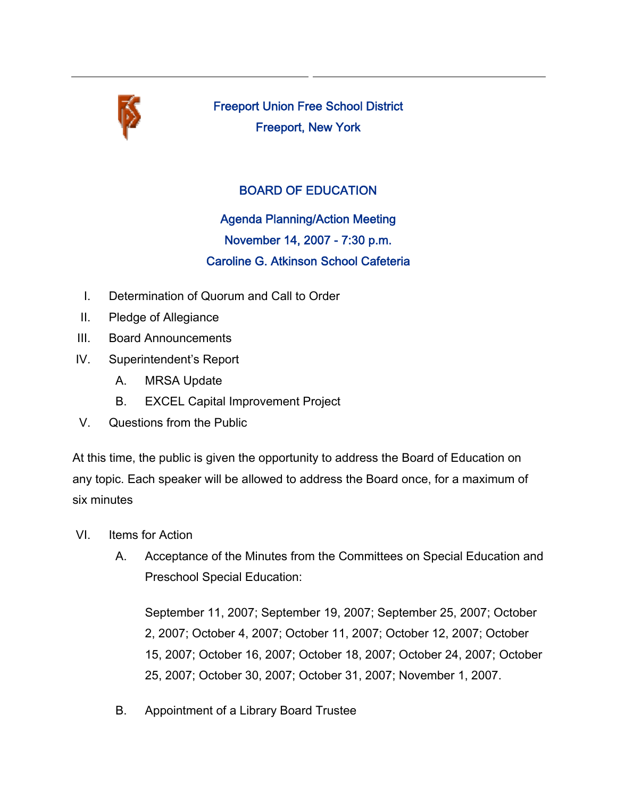

Freeport Union Free School District Freeport, New York

## BOARD OF EDUCATION

Agenda Planning/Action Meeting November 14, 2007 - 7:30 p.m. Caroline G. Atkinson School Cafeteria

- I. Determination of Quorum and Call to Order
- II. Pledge of Allegiance
- III. Board Announcements
- IV. Superintendent's Report
	- A. MRSA Update
	- B. EXCEL Capital Improvement Project
- V. Questions from the Public

At this time, the public is given the opportunity to address the Board of Education on any topic. Each speaker will be allowed to address the Board once, for a maximum of six minutes

- VI. Items for Action
	- A. Acceptance of the Minutes from the Committees on Special Education and Preschool Special Education:

September 11, 2007; September 19, 2007; September 25, 2007; October 2, 2007; October 4, 2007; October 11, 2007; October 12, 2007; October 15, 2007; October 16, 2007; October 18, 2007; October 24, 2007; October 25, 2007; October 30, 2007; October 31, 2007; November 1, 2007.

B. Appointment of a Library Board Trustee